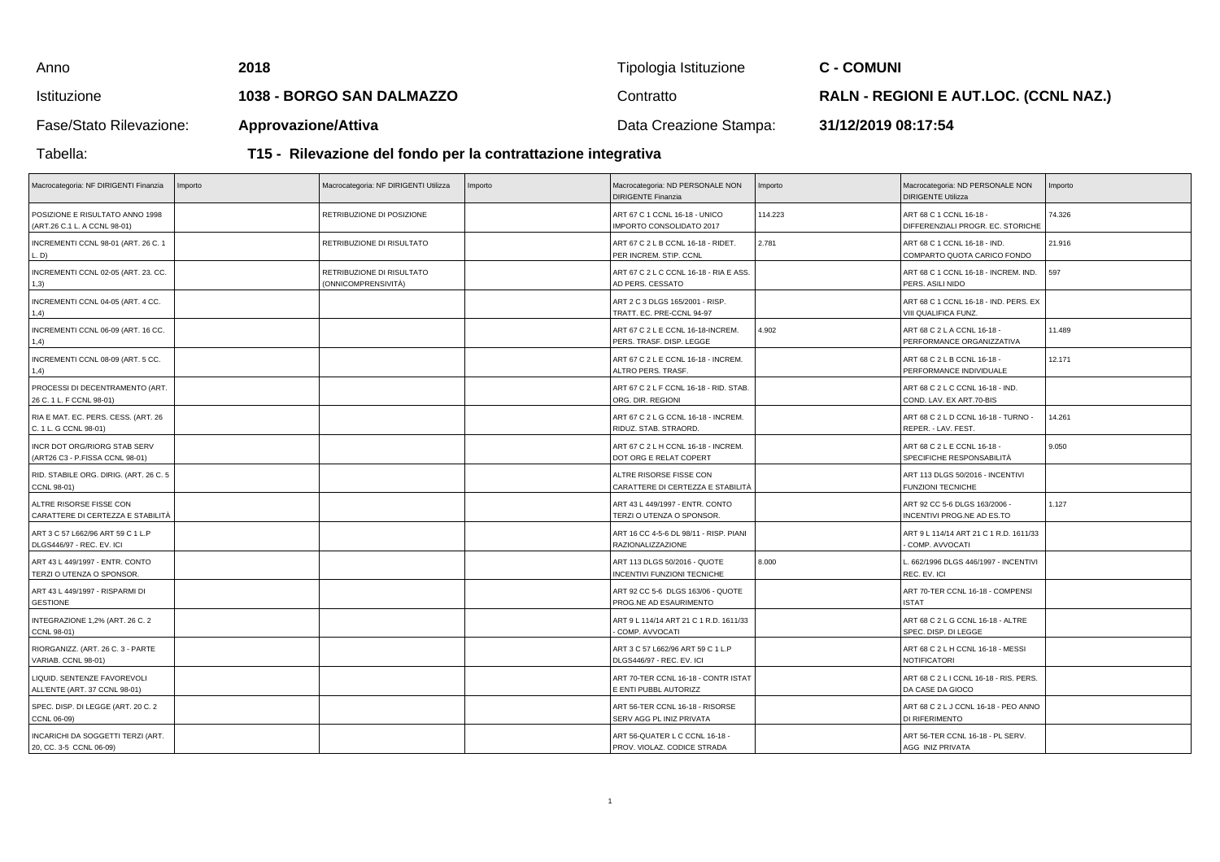| Anno                    | 2018                                                          | Tipologia Istituzione  | <b>C - COMUNI</b>                            |  |  |
|-------------------------|---------------------------------------------------------------|------------------------|----------------------------------------------|--|--|
| Istituzione             | 1038 - BORGO SAN DALMAZZO                                     | Contratto              | <b>RALN - REGIONI E AUT.LOC. (CCNL NAZ.)</b> |  |  |
| Fase/Stato Rilevazione: | <b>Approvazione/Attiva</b>                                    | Data Creazione Stampa: | 31/12/2019 08:17:54                          |  |  |
| Tabella:                | T15 - Rilevazione del fondo per la contrattazione integrativa |                        |                                              |  |  |

| Macrocategoria: NF DIRIGENTI Finanzia                           | Importo | Macrocategoria: NF DIRIGENTI Utilizza            | Importo | Macrocategoria: ND PERSONALE NON<br><b>DIRIGENTE Finanzia</b>      | Importo | Macrocategoria: ND PERSONALE NON<br><b>DIRIGENTE Utilizza</b> | Importo |
|-----------------------------------------------------------------|---------|--------------------------------------------------|---------|--------------------------------------------------------------------|---------|---------------------------------------------------------------|---------|
| POSIZIONE E RISULTATO ANNO 1998<br>(ART.26 C.1 L. A CCNL 98-01) |         | RETRIBUZIONE DI POSIZIONE                        |         | ART 67 C 1 CCNL 16-18 - UNICO<br>IMPORTO CONSOLIDATO 2017          | 114.223 | ART 68 C 1 CCNL 16-18 -<br>DIFFERENZIALI PROGR. EC. STORICHE  | 74.326  |
| INCREMENTI CCNL 98-01 (ART. 26 C. 1<br>L. D)                    |         | RETRIBUZIONE DI RISULTATO                        |         | ART 67 C 2 L B CCNL 16-18 - RIDET.<br>PER INCREM. STIP. CCNL       | 2.781   | ART 68 C 1 CCNL 16-18 - IND.<br>COMPARTO QUOTA CARICO FONDO   | 21.916  |
| INCREMENTI CCNL 02-05 (ART. 23. CC.<br>1,3)                     |         | RETRIBUZIONE DI RISULTATO<br>(ONNICOMPRENSIVITÀ) |         | ART 67 C 2 L C CCNL 16-18 - RIA E ASS.<br>AD PERS. CESSATO         |         | ART 68 C 1 CCNL 16-18 - INCREM. IND.<br>PERS. ASILI NIDO      | 597     |
| INCREMENTI CCNL 04-05 (ART. 4 CC.<br>1,4)                       |         |                                                  |         | ART 2 C 3 DLGS 165/2001 - RISP.<br>TRATT. EC. PRE-CCNL 94-97       |         | ART 68 C 1 CCNL 16-18 - IND. PERS. EX<br>VIII QUALIFICA FUNZ. |         |
| INCREMENTI CCNL 06-09 (ART. 16 CC.<br>1,4)                      |         |                                                  |         | ART 67 C 2 L E CCNL 16-18-INCREM.<br>PERS. TRASF. DISP. LEGGE      | 4.902   | ART 68 C 2 L A CCNL 16-18 -<br>PERFORMANCE ORGANIZZATIVA      | 11.489  |
| INCREMENTI CCNL 08-09 (ART. 5 CC.<br>1,4)                       |         |                                                  |         | ART 67 C 2 L E CCNL 16-18 - INCREM.<br>ALTRO PERS. TRASF           |         | ART 68 C 2 L B CCNL 16-18 -<br>PERFORMANCE INDIVIDUALE        | 12.171  |
| PROCESSI DI DECENTRAMENTO (ART.<br>26 C. 1 L. F CCNL 98-01)     |         |                                                  |         | ART 67 C 2 L F CCNL 16-18 - RID. STAB.<br>ORG. DIR. REGIONI        |         | ART 68 C 2 L C CCNL 16-18 - IND.<br>COND. LAV. EX ART.70-BIS  |         |
| RIA E MAT. EC. PERS. CESS. (ART. 26<br>C. 1 L. G CCNL 98-01)    |         |                                                  |         | ART 67 C 2 L G CCNL 16-18 - INCREM.<br>RIDUZ. STAB. STRAORD.       |         | ART 68 C 2 L D CCNL 16-18 - TURNO -<br>REPER. - LAV. FEST.    | 14.261  |
| INCR DOT ORG/RIORG STAB SERV<br>(ART26 C3 - P.FISSA CCNL 98-01) |         |                                                  |         | ART 67 C 2 L H CCNL 16-18 - INCREM.<br>DOT ORG E RELAT COPERT      |         | ART 68 C 2 L E CCNL 16-18 -<br>SPECIFICHE RESPONSABILITÀ      | 9.050   |
| RID. STABILE ORG. DIRIG. (ART. 26 C. 5<br>CCNL 98-01)           |         |                                                  |         | ALTRE RISORSE FISSE CON<br>CARATTERE DI CERTEZZA E STABILITÀ       |         | ART 113 DLGS 50/2016 - INCENTIVI<br><b>FUNZIONI TECNICHE</b>  |         |
| ALTRE RISORSE FISSE CON<br>CARATTERE DI CERTEZZA E STABILITÀ    |         |                                                  |         | ART 43 L 449/1997 - ENTR. CONTO<br>TERZI O UTENZA O SPONSOR.       |         | ART 92 CC 5-6 DLGS 163/2006 -<br>INCENTIVI PROG.NE AD ES.TO   | 1.127   |
| ART 3 C 57 L662/96 ART 59 C 1 L.P<br>DLGS446/97 - REC. EV. ICI  |         |                                                  |         | ART 16 CC 4-5-6 DL 98/11 - RISP. PIANI<br><b>RAZIONALIZZAZIONE</b> |         | ART 9 L 114/14 ART 21 C 1 R.D. 1611/33<br>- COMP. AVVOCATI    |         |
| ART 43 L 449/1997 - ENTR. CONTO<br>TERZI O UTENZA O SPONSOR.    |         |                                                  |         | ART 113 DLGS 50/2016 - QUOTE<br>INCENTIVI FUNZIONI TECNICHE        | 8.000   | L. 662/1996 DLGS 446/1997 - INCENTIVI<br>REC. EV. ICI         |         |
| ART 43 L 449/1997 - RISPARMI DI<br><b>GESTIONE</b>              |         |                                                  |         | ART 92 CC 5-6 DLGS 163/06 - QUOTE<br>PROG.NE AD ESAURIMENTO        |         | ART 70-TER CCNL 16-18 - COMPENSI<br><b>ISTAT</b>              |         |
| INTEGRAZIONE 1,2% (ART. 26 C. 2<br>CCNL 98-01)                  |         |                                                  |         | ART 9 L 114/14 ART 21 C 1 R.D. 1611/33<br>COMP. AVVOCATI           |         | ART 68 C 2 L G CCNL 16-18 - ALTRE<br>SPEC. DISP. DI LEGGE     |         |
| RIORGANIZZ. (ART. 26 C. 3 - PARTE<br>VARIAB. CCNL 98-01)        |         |                                                  |         | ART 3 C 57 L662/96 ART 59 C 1 L.P<br>DLGS446/97 - REC. EV. ICI     |         | ART 68 C 2 L H CCNL 16-18 - MESSI<br><b>NOTIFICATORI</b>      |         |
| LIQUID. SENTENZE FAVOREVOLI<br>ALL'ENTE (ART. 37 CCNL 98-01)    |         |                                                  |         | ART 70-TER CCNL 16-18 - CONTR ISTAT<br>E ENTI PUBBL AUTORIZZ       |         | ART 68 C 2 L I CCNL 16-18 - RIS. PERS.<br>DA CASE DA GIOCO    |         |
| SPEC. DISP. DI LEGGE (ART. 20 C. 2<br>CCNL 06-09)               |         |                                                  |         | ART 56-TER CCNL 16-18 - RISORSE<br>SERV AGG PL INIZ PRIVATA        |         | ART 68 C 2 L J CCNL 16-18 - PEO ANNO<br>DI RIFERIMENTO        |         |
| INCARICHI DA SOGGETTI TERZI (ART.<br>20, CC. 3-5 CCNL 06-09)    |         |                                                  |         | ART 56-QUATER L C CCNL 16-18 -<br>PROV. VIOLAZ. CODICE STRADA      |         | ART 56-TER CCNL 16-18 - PL SERV.<br>AGG INIZ PRIVATA          |         |